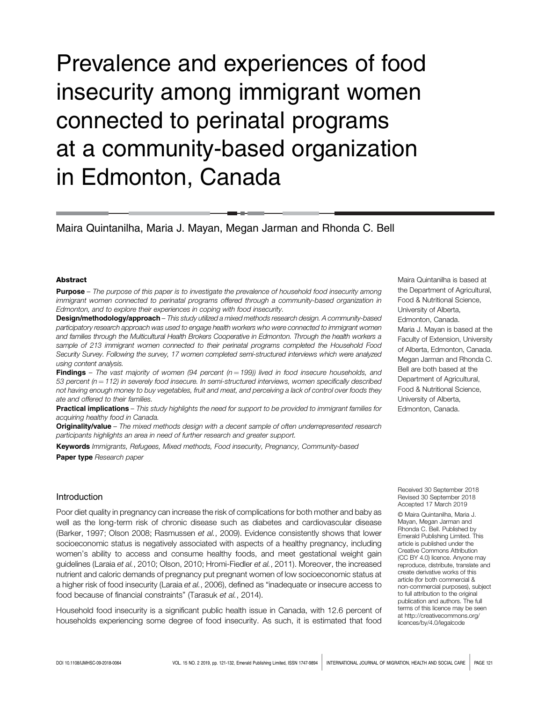# Prevalence and experiences of food insecurity among immigrant women connected to perinatal programs at a community-based organization in Edmonton, Canada

Maira Quintanilha, Maria J. Mayan, Megan Jarman and Rhonda C. Bell

#### Abstract

Purpose – The purpose of this paper is to investigate the prevalence of household food insecurity among immigrant women connected to perinatal programs offered through a community-based organization in Edmonton, and to explore their experiences in coping with food insecurity.

Design/methodology/approach – This study utilized a mixed methods research design. A community-based participatory research approach was used to engage health workers who were connected to immigrant women and families through the Multicultural Health Brokers Cooperative in Edmonton. Through the health workers a sample of 213 immigrant women connected to their perinatal programs completed the Household Food Security Survey. Following the survey, 17 women completed semi-structured interviews which were analyzed using content analysis.

**Findings** – The vast majority of women (94 percent  $(n = 199)$ ) lived in food insecure households, and 53 percent ( $n = 112$ ) in severely food insecure. In semi-structured interviews, women specifically described not having enough money to buy vegetables, fruit and meat, and perceiving a lack of control over foods they ate and offered to their families.

Practical implications - This study highlights the need for support to be provided to immigrant families for acquiring healthy food in Canada.

Originality/value - The mixed methods design with a decent sample of often underrepresented research participants highlights an area in need of further research and greater support.

Keywords Immigrants, Refugees, Mixed methods, Food insecurity, Pregnancy, Community-based

Paper type Research paper

# Introduction

Poor diet quality in pregnancy can increase the risk of complications for both mother and baby as well as the long-term risk of chronic disease such as diabetes and cardiovascular disease (Barker, 1997; Olson 2008; Rasmussen et al., 2009). Evidence consistently shows that lower socioeconomic status is negatively associated with aspects of a healthy pregnancy, including women's ability to access and consume healthy foods, and meet gestational weight gain guidelines (Laraia et al., 2010; Olson, 2010; Hromi-Fiedler et al., 2011). Moreover, the increased nutrient and caloric demands of pregnancy put pregnant women of low socioeconomic status at a higher risk of food insecurity (Laraia et al., 2006), defined as "inadequate or insecure access to food because of financial constraints" (Tarasuk et al., 2014).

Household food insecurity is a significant public health issue in Canada, with 12.6 percent of households experiencing some degree of food insecurity. As such, it is estimated that food Food & Nutritional Science, University of Alberta, Edmonton, Canada. Maria J. Mayan is based at the Faculty of Extension, University of Alberta, Edmonton, Canada. Megan Jarman and Rhonda C. Bell are both based at the Department of Agricultural, Food & Nutritional Science, University of Alberta, Edmonton, Canada.

Maira Quintanilha is based at the Department of Agricultural,

Received 30 September 2018 Revised 30 September 2018 Accepted 17 March 2019

© Maira Quintanilha, Maria J. Mayan, Megan Jarman and Rhonda C. Bell. Published by Emerald Publishing Limited. This article is published under the Creative Commons Attribution (CC BY 4.0) licence. Anyone may reproduce, distribute, translate and create derivative works of this article (for both commercial & non-commercial purposes), subject to full attribution to the original publication and authors. The full terms of this licence may be seen at [http://creativecommons.org/](http://creativecommons.org/licences/by/4.0/legalcode) [licences/by/4.0/legalcode](http://creativecommons.org/licences/by/4.0/legalcode)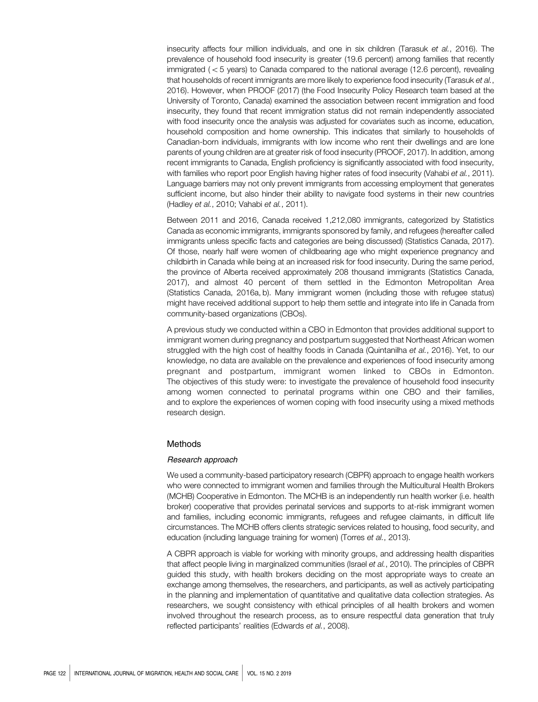insecurity affects four million individuals, and one in six children (Tarasuk et al., 2016). The prevalence of household food insecurity is greater (19.6 percent) among families that recently immigrated  $(< 5$  years) to Canada compared to the national average (12.6 percent), revealing that households of recent immigrants are more likely to experience food insecurity (Tarasuk et al., 2016). However, when PROOF (2017) (the Food Insecurity Policy Research team based at the University of Toronto, Canada) examined the association between recent immigration and food insecurity, they found that recent immigration status did not remain independently associated with food insecurity once the analysis was adjusted for covariates such as income, education, household composition and home ownership. This indicates that similarly to households of Canadian-born individuals, immigrants with low income who rent their dwellings and are lone parents of young children are at greater risk of food insecurity (PROOF, 2017). In addition, among recent immigrants to Canada, English proficiency is significantly associated with food insecurity, with families who report poor English having higher rates of food insecurity (Vahabi et al., 2011). Language barriers may not only prevent immigrants from accessing employment that generates sufficient income, but also hinder their ability to navigate food systems in their new countries (Hadley et al., 2010; Vahabi et al., 2011).

Between 2011 and 2016, Canada received 1,212,080 immigrants, categorized by Statistics Canada as economic immigrants, immigrants sponsored by family, and refugees (hereafter called immigrants unless specific facts and categories are being discussed) (Statistics Canada, 2017). Of those, nearly half were women of childbearing age who might experience pregnancy and childbirth in Canada while being at an increased risk for food insecurity. During the same period, the province of Alberta received approximately 208 thousand immigrants (Statistics Canada, 2017), and almost 40 percent of them settled in the Edmonton Metropolitan Area (Statistics Canada, 2016a, b). Many immigrant women (including those with refugee status) might have received additional support to help them settle and integrate into life in Canada from community-based organizations (CBOs).

A previous study we conducted within a CBO in Edmonton that provides additional support to immigrant women during pregnancy and postpartum suggested that Northeast African women struggled with the high cost of healthy foods in Canada (Quintanilha et al., 2016). Yet, to our knowledge, no data are available on the prevalence and experiences of food insecurity among pregnant and postpartum, immigrant women linked to CBOs in Edmonton. The objectives of this study were: to investigate the prevalence of household food insecurity among women connected to perinatal programs within one CBO and their families, and to explore the experiences of women coping with food insecurity using a mixed methods research design.

#### Methods

#### Research approach

We used a community-based participatory research (CBPR) approach to engage health workers who were connected to immigrant women and families through the Multicultural Health Brokers (MCHB) Cooperative in Edmonton. The MCHB is an independently run health worker (i.e. health broker) cooperative that provides perinatal services and supports to at-risk immigrant women and families, including economic immigrants, refugees and refugee claimants, in difficult life circumstances. The MCHB offers clients strategic services related to housing, food security, and education (including language training for women) (Torres et al., 2013).

A CBPR approach is viable for working with minority groups, and addressing health disparities that affect people living in marginalized communities (Israel et al., 2010). The principles of CBPR guided this study, with health brokers deciding on the most appropriate ways to create an exchange among themselves, the researchers, and participants, as well as actively participating in the planning and implementation of quantitative and qualitative data collection strategies. As researchers, we sought consistency with ethical principles of all health brokers and women involved throughout the research process, as to ensure respectful data generation that truly reflected participants' realities (Edwards et al., 2008).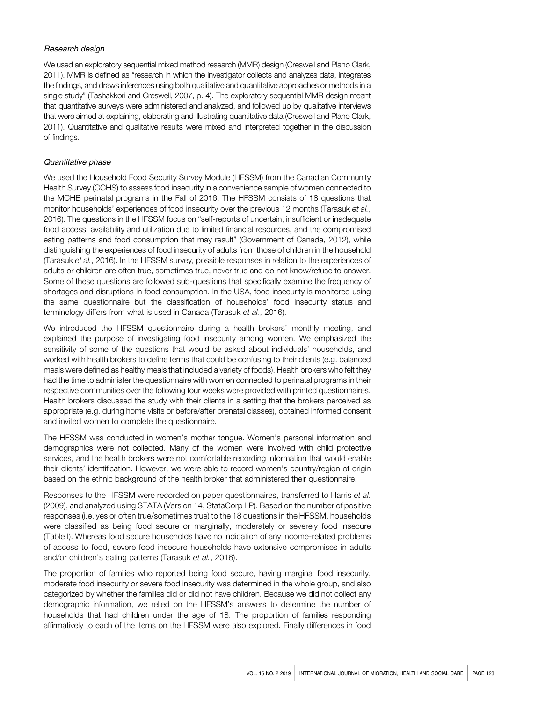#### Research design

We used an exploratory sequential mixed method research (MMR) design (Creswell and Plano Clark, 2011). MMR is defined as "research in which the investigator collects and analyzes data, integrates the findings, and draws inferences using both qualitative and quantitative approaches or methods in a single study" (Tashakkori and Creswell, 2007, p. 4). The exploratory sequential MMR design meant that quantitative surveys were administered and analyzed, and followed up by qualitative interviews that were aimed at explaining, elaborating and illustrating quantitative data (Creswell and Plano Clark, 2011). Quantitative and qualitative results were mixed and interpreted together in the discussion of findings.

#### Quantitative phase

We used the Household Food Security Survey Module (HFSSM) from the Canadian Community Health Survey (CCHS) to assess food insecurity in a convenience sample of women connected to the MCHB perinatal programs in the Fall of 2016. The HFSSM consists of 18 questions that monitor households' experiences of food insecurity over the previous 12 months (Tarasuk et al., 2016). The questions in the HFSSM focus on "self-reports of uncertain, insufficient or inadequate food access, availability and utilization due to limited financial resources, and the compromised eating patterns and food consumption that may result" (Government of Canada, 2012), while distinguishing the experiences of food insecurity of adults from those of children in the household (Tarasuk et al., 2016). In the HFSSM survey, possible responses in relation to the experiences of adults or children are often true, sometimes true, never true and do not know/refuse to answer. Some of these questions are followed sub-questions that specifically examine the frequency of shortages and disruptions in food consumption. In the USA, food insecurity is monitored using the same questionnaire but the classification of households' food insecurity status and terminology differs from what is used in Canada (Tarasuk et al., 2016).

We introduced the HFSSM questionnaire during a health brokers' monthly meeting, and explained the purpose of investigating food insecurity among women. We emphasized the sensitivity of some of the questions that would be asked about individuals' households, and worked with health brokers to define terms that could be confusing to their clients (e.g. balanced meals were defined as healthy meals that included a variety of foods). Health brokers who felt they had the time to administer the questionnaire with women connected to perinatal programs in their respective communities over the following four weeks were provided with printed questionnaires. Health brokers discussed the study with their clients in a setting that the brokers perceived as appropriate (e.g. during home visits or before/after prenatal classes), obtained informed consent and invited women to complete the questionnaire.

The HFSSM was conducted in women's mother tongue. Women's personal information and demographics were not collected. Many of the women were involved with child protective services, and the health brokers were not comfortable recording information that would enable their clients' identification. However, we were able to record women's country/region of origin based on the ethnic background of the health broker that administered their questionnaire.

Responses to the HFSSM were recorded on paper questionnaires, transferred to Harris et al. (2009), and analyzed using STATA (Version 14, StataCorp LP). Based on the number of positive responses (i.e. yes or often true/sometimes true) to the 18 questions in the HFSSM, households were classified as being food secure or marginally, moderately or severely food insecure (Table I). Whereas food secure households have no indication of any income-related problems of access to food, severe food insecure households have extensive compromises in adults and/or children's eating patterns (Tarasuk et al., 2016).

The proportion of families who reported being food secure, having marginal food insecurity, moderate food insecurity or severe food insecurity was determined in the whole group, and also categorized by whether the families did or did not have children. Because we did not collect any demographic information, we relied on the HFSSM's answers to determine the number of households that had children under the age of 18. The proportion of families responding affirmatively to each of the items on the HFSSM were also explored. Finally differences in food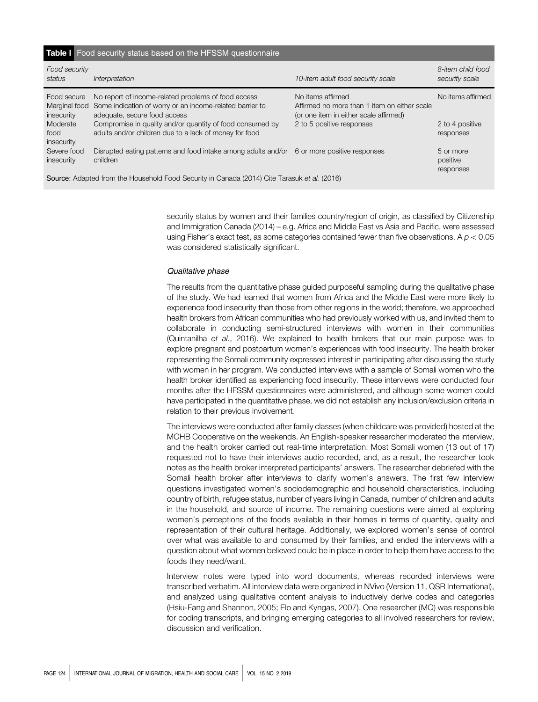| Table I Food security status based on the HFSSM questionnaire                                |                                                                                                                                                                                                              |                                                                                                                                          |                                      |  |  |  |
|----------------------------------------------------------------------------------------------|--------------------------------------------------------------------------------------------------------------------------------------------------------------------------------------------------------------|------------------------------------------------------------------------------------------------------------------------------------------|--------------------------------------|--|--|--|
| Food security<br>status                                                                      | Interpretation                                                                                                                                                                                               | 10-item adult food security scale                                                                                                        | 8-item child food<br>security scale  |  |  |  |
| Food secure<br>Marginal food<br>insecurity<br>Moderate                                       | No report of income-related problems of food access<br>Some indication of worry or an income-related barrier to<br>adequate, secure food access<br>Compromise in quality and/or quantity of food consumed by | No items affirmed<br>Affirmed no more than 1 item on either scale<br>(or one item in either scale affirmed)<br>2 to 5 positive responses | No items affirmed<br>2 to 4 positive |  |  |  |
| food<br>insecurity                                                                           | adults and/or children due to a lack of money for food                                                                                                                                                       |                                                                                                                                          | responses                            |  |  |  |
| Severe food<br>insecurity                                                                    | Disrupted eating patterns and food intake among adults and/or 6 or more positive responses<br>children                                                                                                       |                                                                                                                                          | 5 or more<br>positive<br>responses   |  |  |  |
| Source: Adapted from the Household Food Security in Canada (2014) Cite Tarasuk et al. (2016) |                                                                                                                                                                                                              |                                                                                                                                          |                                      |  |  |  |

security status by women and their families country/region of origin, as classified by Citizenship and Immigration Canada (2014) – e.g. Africa and Middle East vs Asia and Pacific, were assessed using Fisher's exact test, as some categories contained fewer than five observations. A  $p < 0.05$ was considered statistically significant.

#### Qualitative phase

The results from the quantitative phase guided purposeful sampling during the qualitative phase of the study. We had learned that women from Africa and the Middle East were more likely to experience food insecurity than those from other regions in the world; therefore, we approached health brokers from African communities who had previously worked with us, and invited them to collaborate in conducting semi-structured interviews with women in their communities (Quintanilha et al., 2016). We explained to health brokers that our main purpose was to explore pregnant and postpartum women's experiences with food insecurity. The health broker representing the Somali community expressed interest in participating after discussing the study with women in her program. We conducted interviews with a sample of Somali women who the health broker identified as experiencing food insecurity. These interviews were conducted four months after the HFSSM questionnaires were administered, and although some women could have participated in the quantitative phase, we did not establish any inclusion/exclusion criteria in relation to their previous involvement.

The interviews were conducted after family classes (when childcare was provided) hosted at the MCHB Cooperative on the weekends. An English-speaker researcher moderated the interview, and the health broker carried out real-time interpretation. Most Somali women (13 out of 17) requested not to have their interviews audio recorded, and, as a result, the researcher took notes as the health broker interpreted participants' answers. The researcher debriefed with the Somali health broker after interviews to clarify women's answers. The first few interview questions investigated women's sociodemographic and household characteristics, including country of birth, refugee status, number of years living in Canada, number of children and adults in the household, and source of income. The remaining questions were aimed at exploring women's perceptions of the foods available in their homes in terms of quantity, quality and representation of their cultural heritage. Additionally, we explored women's sense of control over what was available to and consumed by their families, and ended the interviews with a question about what women believed could be in place in order to help them have access to the foods they need/want.

Interview notes were typed into word documents, whereas recorded interviews were transcribed verbatim. All interview data were organized in NVivo (Version 11, QSR International), and analyzed using qualitative content analysis to inductively derive codes and categories (Hsiu-Fang and Shannon, 2005; Elo and Kyngas, 2007). One researcher (MQ) was responsible for coding transcripts, and bringing emerging categories to all involved researchers for review, discussion and verification.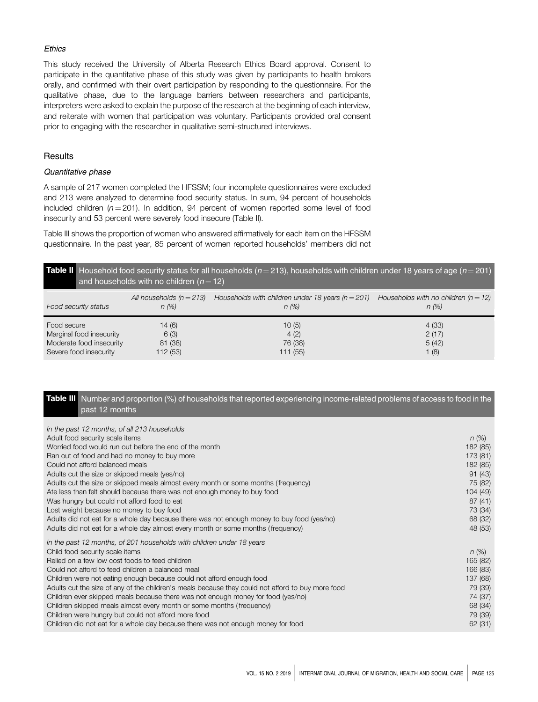#### **Ethics**

This study received the University of Alberta Research Ethics Board approval. Consent to participate in the quantitative phase of this study was given by participants to health brokers orally, and confirmed with their overt participation by responding to the questionnaire. For the qualitative phase, due to the language barriers between researchers and participants, interpreters were asked to explain the purpose of the research at the beginning of each interview, and reiterate with women that participation was voluntary. Participants provided oral consent prior to engaging with the researcher in qualitative semi-structured interviews.

## **Results**

#### Quantitative phase

A sample of 217 women completed the HFSSM; four incomplete questionnaires were excluded and 213 were analyzed to determine food security status. In sum, 94 percent of households included children ( $n = 201$ ). In addition, 94 percent of women reported some level of food insecurity and 53 percent were severely food insecure (Table II).

Table III shows the proportion of women who answered affirmatively for each item on the HFSSM questionnaire. In the past year, 85 percent of women reported households' members did not

|                          | <b>Table II</b> Household food security status for all households ( $n=213$ ), households with children under 18 years of age ( $n=201$ )<br>and households with no children ( $n = 12$ ) |                                                       |                                        |  |  |  |  |
|--------------------------|-------------------------------------------------------------------------------------------------------------------------------------------------------------------------------------------|-------------------------------------------------------|----------------------------------------|--|--|--|--|
| Food security status     | All households $(n = 213)$                                                                                                                                                                | Households with children under 18 years ( $n = 201$ ) | Households with no children $(n = 12)$ |  |  |  |  |
|                          | n(%)                                                                                                                                                                                      | n (%)                                                 | n (%)                                  |  |  |  |  |
| Food secure              | 14(6)                                                                                                                                                                                     | 10(5)                                                 | 4(33)                                  |  |  |  |  |
| Marginal food insecurity | 6(3)                                                                                                                                                                                      | 4(2)                                                  | 2(17)                                  |  |  |  |  |
| Moderate food insecurity | 81 (38)                                                                                                                                                                                   | 76 (38)                                               | 5(42)                                  |  |  |  |  |
| Severe food insecurity   | 112 (53)                                                                                                                                                                                  | 111(55)                                               | 1(8)                                   |  |  |  |  |

# Table III Number and proportion (%) of households that reported experiencing income-related problems of access to food in the past 12 months

| In the past 12 months, of all 213 households<br>Adult food security scale items<br>Worried food would run out before the end of the month<br>Ran out of food and had no money to buy more<br>Could not afford balanced meals<br>Adults cut the size or skipped meals (yes/no)<br>Adults cut the size or skipped meals almost every month or some months (frequency)<br>Ate less than felt should because there was not enough money to buy food<br>Was hungry but could not afford food to eat<br>Lost weight because no money to buy food<br>Adults did not eat for a whole day because there was not enough money to buy food (yes/no)<br>Adults did not eat for a whole day almost every month or some months (frequency) | $n (\%)$<br>182 (85)<br>173 (81)<br>182 (85)<br>91(43)<br>75 (82)<br>104(49)<br>87(41)<br>73 (34)<br>68 (32)<br>48 (53) |
|------------------------------------------------------------------------------------------------------------------------------------------------------------------------------------------------------------------------------------------------------------------------------------------------------------------------------------------------------------------------------------------------------------------------------------------------------------------------------------------------------------------------------------------------------------------------------------------------------------------------------------------------------------------------------------------------------------------------------|-------------------------------------------------------------------------------------------------------------------------|
| In the past 12 months, of 201 households with children under 18 years<br>Child food security scale items<br>Relied on a few low cost foods to feed children<br>Could not afford to feed children a balanced meal<br>Children were not eating enough because could not afford enough food<br>Adults cut the size of any of the children's meals because they could not afford to buy more food<br>Children ever skipped meals because there was not enough money for food (yes/no)<br>Children skipped meals almost every month or some months (frequency)<br>Children were hungry but could not afford more food<br>Children did not eat for a whole day because there was not enough money for food                         | $n (\%)$<br>165 (82)<br>166 (83)<br>137 (68)<br>79 (39)<br>74 (37)<br>68 (34)<br>79 (39)<br>62(31)                      |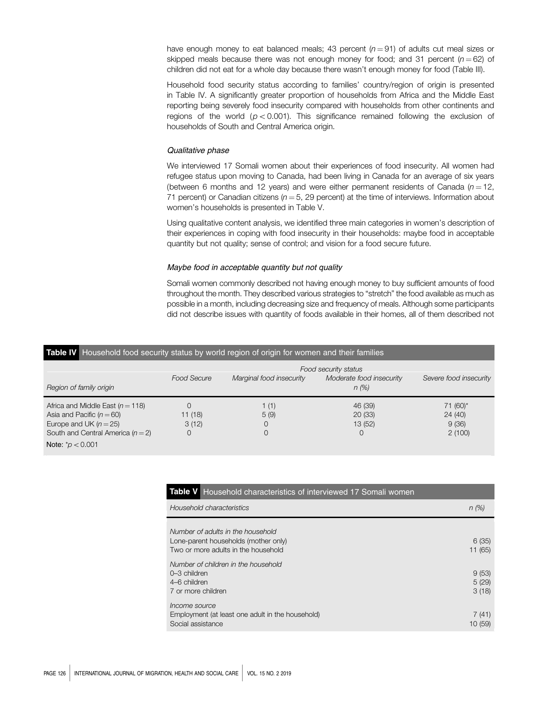have enough money to eat balanced meals; 43 percent  $(n=91)$  of adults cut meal sizes or skipped meals because there was not enough money for food; and 31 percent  $(n = 62)$  of children did not eat for a whole day because there wasn't enough money for food (Table III).

Household food security status according to families' country/region of origin is presented in Table IV. A significantly greater proportion of households from Africa and the Middle East reporting being severely food insecurity compared with households from other continents and regions of the world ( $p < 0.001$ ). This significance remained following the exclusion of households of South and Central America origin.

#### Qualitative phase

We interviewed 17 Somali women about their experiences of food insecurity. All women had refugee status upon moving to Canada, had been living in Canada for an average of six years (between 6 months and 12 years) and were either permanent residents of Canada ( $n = 12$ , 71 percent) or Canadian citizens ( $n = 5$ , 29 percent) at the time of interviews. Information about women's households is presented in Table V.

Using qualitative content analysis, we identified three main categories in women's description of their experiences in coping with food insecurity in their households: maybe food in acceptable quantity but not quality; sense of control; and vision for a food secure future.

## Maybe food in acceptable quantity but not quality

Somali women commonly described not having enough money to buy sufficient amounts of food throughout the month. They described various strategies to "stretch" the food available as much as possible in a month, including decreasing size and frequency of meals. Although some participants did not describe issues with quantity of foods available in their homes, all of them described not

# Table IV Household food security status by world region of origin for women and their families Food security status Food Secure Marginal food insecurity Moderate food insecurity Severe food insecurity Region of family origin n (%) and the contract of the contract of the contract of the contract of the contract of the contract of the contract of the contract of the contract of the contract of the contract of the contract

| Africa and Middle East $(n = 118)$    |         | (1)  | 46 (39) | 71 (60)* |
|---------------------------------------|---------|------|---------|----------|
| Asia and Pacific $(n = 60)$           | 11 (18) | 5(9) | 20(33)  | 24 (40)  |
| Europe and UK $(n=25)$                | 3(12)   |      | 13(52)  | 9(36)    |
| South and Central America ( $n = 2$ ) |         |      |         | 2(100)   |
| Note: $p' < 0.001$                    |         |      |         |          |

| <b>Table V</b> Household characteristics of interviewed 17 Somali women                                          |                         |
|------------------------------------------------------------------------------------------------------------------|-------------------------|
| Household characteristics                                                                                        | $n$ (%)                 |
| Number of adults in the household<br>Lone-parent households (mother only)<br>Two or more adults in the household | 6(35)<br>11 (65)        |
| Number of children in the household<br>0–3 children<br>4–6 children<br>7 or more children                        | 9(53)<br>5(29)<br>3(18) |
| Income source<br>Employment (at least one adult in the household)<br>Social assistance                           | 7(41)<br>10(59)         |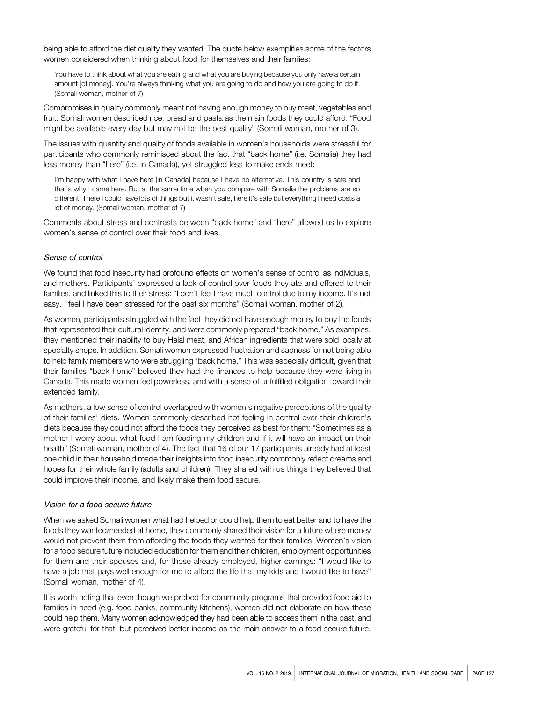being able to afford the diet quality they wanted. The quote below exemplifies some of the factors women considered when thinking about food for themselves and their families:

You have to think about what you are eating and what you are buying because you only have a certain amount [of money]. You're always thinking what you are going to do and how you are going to do it. (Somali woman, mother of 7)

Compromises in quality commonly meant not having enough money to buy meat, vegetables and fruit. Somali women described rice, bread and pasta as the main foods they could afford: "Food might be available every day but may not be the best quality" (Somali woman, mother of 3).

The issues with quantity and quality of foods available in women's households were stressful for participants who commonly reminisced about the fact that "back home" (i.e. Somalia) they had less money than "here" (i.e. in Canada), yet struggled less to make ends meet:

I'm happy with what I have here [in Canada] because I have no alternative. This country is safe and that's why I came here. But at the same time when you compare with Somalia the problems are so different. There I could have lots of things but it wasn't safe, here it's safe but everything I need costs a lot of money. (Somali woman, mother of 7)

Comments about stress and contrasts between "back home" and "here" allowed us to explore women's sense of control over their food and lives.

#### Sense of control

We found that food insecurity had profound effects on women's sense of control as individuals, and mothers. Participants' expressed a lack of control over foods they ate and offered to their families, and linked this to their stress: "I don't feel I have much control due to my income. It's not easy. I feel I have been stressed for the past six months" (Somali woman, mother of 2).

As women, participants struggled with the fact they did not have enough money to buy the foods that represented their cultural identity, and were commonly prepared "back home." As examples, they mentioned their inability to buy Halal meat, and African ingredients that were sold locally at specialty shops. In addition, Somali women expressed frustration and sadness for not being able to help family members who were struggling "back home." This was especially difficult, given that their families "back home" believed they had the finances to help because they were living in Canada. This made women feel powerless, and with a sense of unfulfilled obligation toward their extended family.

As mothers, a low sense of control overlapped with women's negative perceptions of the quality of their families' diets. Women commonly described not feeling in control over their children's diets because they could not afford the foods they perceived as best for them: "Sometimes as a mother I worry about what food I am feeding my children and if it will have an impact on their health" (Somali woman, mother of 4). The fact that 16 of our 17 participants already had at least one child in their household made their insights into food insecurity commonly reflect dreams and hopes for their whole family (adults and children). They shared with us things they believed that could improve their income, and likely make them food secure.

#### Vision for a food secure future

When we asked Somali women what had helped or could help them to eat better and to have the foods they wanted/needed at home, they commonly shared their vision for a future where money would not prevent them from affording the foods they wanted for their families. Women's vision for a food secure future included education for them and their children, employment opportunities for them and their spouses and, for those already employed, higher earnings: "I would like to have a job that pays well enough for me to afford the life that my kids and I would like to have" (Somali woman, mother of 4).

It is worth noting that even though we probed for community programs that provided food aid to families in need (e.g. food banks, community kitchens), women did not elaborate on how these could help them. Many women acknowledged they had been able to access them in the past, and were grateful for that, but perceived better income as the main answer to a food secure future.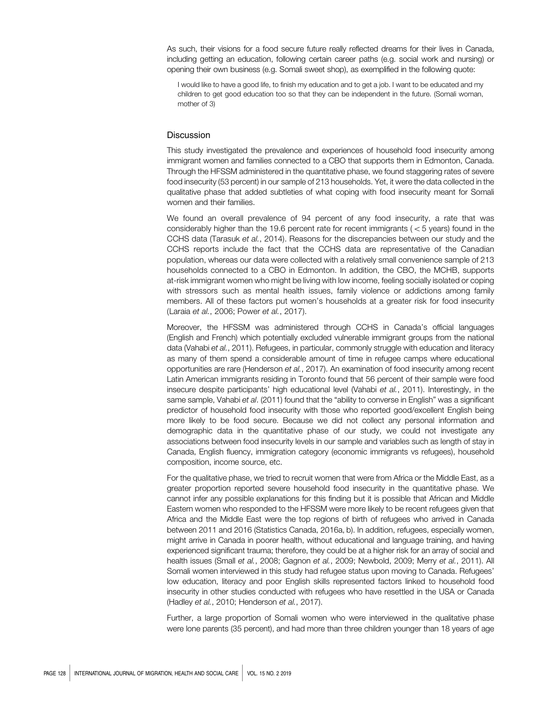As such, their visions for a food secure future really reflected dreams for their lives in Canada, including getting an education, following certain career paths (e.g. social work and nursing) or opening their own business (e.g. Somali sweet shop), as exemplified in the following quote:

I would like to have a good life, to finish my education and to get a job. I want to be educated and my children to get good education too so that they can be independent in the future. (Somali woman, mother of 3)

#### **Discussion**

This study investigated the prevalence and experiences of household food insecurity among immigrant women and families connected to a CBO that supports them in Edmonton, Canada. Through the HFSSM administered in the quantitative phase, we found staggering rates of severe food insecurity (53 percent) in our sample of 213 households. Yet, it were the data collected in the qualitative phase that added subtleties of what coping with food insecurity meant for Somali women and their families.

We found an overall prevalence of 94 percent of any food insecurity, a rate that was considerably higher than the 19.6 percent rate for recent immigrants ( $<$  5 years) found in the CCHS data (Tarasuk et al., 2014). Reasons for the discrepancies between our study and the CCHS reports include the fact that the CCHS data are representative of the Canadian population, whereas our data were collected with a relatively small convenience sample of 213 households connected to a CBO in Edmonton. In addition, the CBO, the MCHB, supports at-risk immigrant women who might be living with low income, feeling socially isolated or coping with stressors such as mental health issues, family violence or addictions among family members. All of these factors put women's households at a greater risk for food insecurity (Laraia et al., 2006; Power et al., 2017).

Moreover, the HFSSM was administered through CCHS in Canada's official languages (English and French) which potentially excluded vulnerable immigrant groups from the national data (Vahabi et al., 2011). Refugees, in particular, commonly struggle with education and literacy as many of them spend a considerable amount of time in refugee camps where educational opportunities are rare (Henderson et al., 2017). An examination of food insecurity among recent Latin American immigrants residing in Toronto found that 56 percent of their sample were food insecure despite participants' high educational level (Vahabi et al., 2011). Interestingly, in the same sample, Vahabi et al. (2011) found that the "ability to converse in English" was a significant predictor of household food insecurity with those who reported good/excellent English being more likely to be food secure. Because we did not collect any personal information and demographic data in the quantitative phase of our study, we could not investigate any associations between food insecurity levels in our sample and variables such as length of stay in Canada, English fluency, immigration category (economic immigrants vs refugees), household composition, income source, etc.

For the qualitative phase, we tried to recruit women that were from Africa or the Middle East, as a greater proportion reported severe household food insecurity in the quantitative phase. We cannot infer any possible explanations for this finding but it is possible that African and Middle Eastern women who responded to the HFSSM were more likely to be recent refugees given that Africa and the Middle East were the top regions of birth of refugees who arrived in Canada between 2011 and 2016 (Statistics Canada, 2016a, b). In addition, refugees, especially women, might arrive in Canada in poorer health, without educational and language training, and having experienced significant trauma; therefore, they could be at a higher risk for an array of social and health issues (Small et al., 2008; Gagnon et al., 2009; Newbold, 2009; Merry et al., 2011). All Somali women interviewed in this study had refugee status upon moving to Canada. Refugees' low education, literacy and poor English skills represented factors linked to household food insecurity in other studies conducted with refugees who have resettled in the USA or Canada (Hadley et al., 2010; Henderson et al., 2017).

Further, a large proportion of Somali women who were interviewed in the qualitative phase were lone parents (35 percent), and had more than three children younger than 18 years of age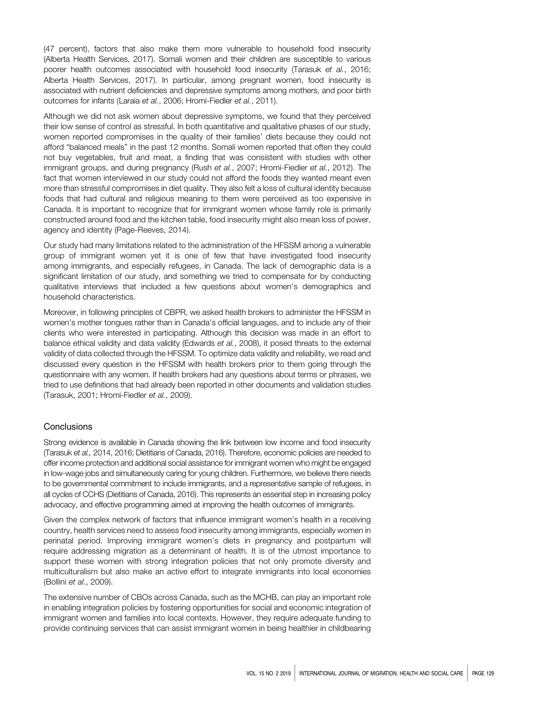(47 percent), factors that also make them more vulnerable to household food insecurity (Alberta Health Services, 2017). Somali women and their children are susceptible to various poorer health outcomes associated with household food insecurity (Tarasuk et al., 2016; Alberta Health Services, 2017). In particular, among pregnant women, food insecurity is associated with nutrient deficiencies and depressive symptoms among mothers, and poor birth outcomes for infants (Laraia et al., 2006; Hromi-Fiedler et al., 2011).

Although we did not ask women about depressive symptoms, we found that they perceived their low sense of control as stressful. In both quantitative and qualitative phases of our study, women reported compromises in the quality of their families' diets because they could not afford "balanced meals" in the past 12 months. Somali women reported that often they could not buy vegetables, fruit and meat, a finding that was consistent with studies with other immigrant groups, and during pregnancy (Rush et al., 2007; Hromi-Fiedler et al., 2012). The fact that women interviewed in our study could not afford the foods they wanted meant even more than stressful compromises in diet quality. They also felt a loss of cultural identity because foods that had cultural and religious meaning to them were perceived as too expensive in Canada. It is important to recognize that for immigrant women whose family role is primarily constructed around food and the kitchen table, food insecurity might also mean loss of power, agency and identity (Page-Reeves, 2014).

Our study had many limitations related to the administration of the HFSSM among a vulnerable group of immigrant women yet it is one of few that have investigated food insecurity among immigrants, and especially refugees, in Canada. The lack of demographic data is a significant limitation of our study, and something we tried to compensate for by conducting qualitative interviews that included a few questions about women's demographics and household characteristics.

Moreover, in following principles of CBPR, we asked health brokers to administer the HFSSM in women's mother tongues rather than in Canada's official languages, and to include any of their clients who were interested in participating. Although this decision was made in an effort to balance ethical validity and data validity (Edwards et al., 2008), it posed threats to the external validity of data collected through the HFSSM. To optimize data validity and reliability, we read and discussed every question in the HFSSM with health brokers prior to them going through the questionnaire with any women. If health brokers had any questions about terms or phrases, we tried to use definitions that had already been reported in other documents and validation studies (Tarasuk, 2001; Hromi-Fiedler et al., 2009).

# **Conclusions**

Strong evidence is available in Canada showing the link between low income and food insecurity (Tarasuk et al., 2014, 2016; Dietitians of Canada, 2016). Therefore, economic policies are needed to offer income protection and additional social assistance for immigrant women who might be engaged in low-wage jobs and simultaneously caring for young children. Furthermore, we believe there needs to be governmental commitment to include immigrants, and a representative sample of refugees, in all cycles of CCHS (Dietitians of Canada, 2016). This represents an essential step in increasing policy advocacy, and effective programming aimed at improving the health outcomes of immigrants.

Given the complex network of factors that influence immigrant women's health in a receiving country, health services need to assess food insecurity among immigrants, especially women in perinatal period. Improving immigrant women's diets in pregnancy and postpartum will require addressing migration as a determinant of health. It is of the utmost importance to support these women with strong integration policies that not only promote diversity and multiculturalism but also make an active effort to integrate immigrants into local economies (Bollini et al., 2009).

The extensive number of CBOs across Canada, such as the MCHB, can play an important role in enabling integration policies by fostering opportunities for social and economic integration of immigrant women and families into local contexts. However, they require adequate funding to provide continuing services that can assist immigrant women in being healthier in childbearing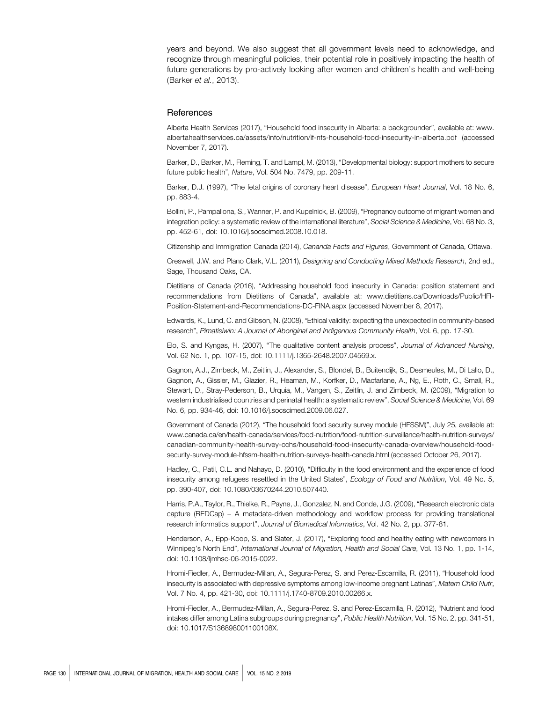years and beyond. We also suggest that all government levels need to acknowledge, and recognize through meaningful policies, their potential role in positively impacting the health of future generations by pro-actively looking after women and children's health and well-being (Barker et al., 2013).

#### **References**

Alberta Health Services (2017), "Household food insecurity in Alberta: a backgrounder", available at: [www.](www.albertahealthservices.ca/assets/info/nutrition/if-nfs-household-food-insecurity-in-alberta.pdf) [albertahealthservices.ca/assets/info/nutrition/if-nfs-household-food-insecurity-in-alberta.pdf](www.albertahealthservices.ca/assets/info/nutrition/if-nfs-household-food-insecurity-in-alberta.pdf) (accessed November 7, 2017).

Barker, D., Barker, M., Fleming, T. and Lampl, M. (2013), "Developmental biology: support mothers to secure future public health", Nature, Vol. 504 No. 7479, pp. 209-11.

Barker, D.J. (1997), "The fetal origins of coronary heart disease", European Heart Journal, Vol. 18 No. 6, pp. 883-4.

Bollini, P., Pampallona, S., Wanner, P. and Kupelnick, B. (2009), "Pregnancy outcome of migrant women and integration policy: a systematic review of the international literature", Social Science & Medicine, Vol. 68 No. 3, pp. 452-61, doi: 10.1016/j.socscimed.2008.10.018.

Citizenship and Immigration Canada (2014), Cananda Facts and Figures, Government of Canada, Ottawa.

Creswell, J.W. and Plano Clark, V.L. (2011), Designing and Conducting Mixed Methods Research, 2nd ed., Sage, Thousand Oaks, CA.

Dietitians of Canada (2016), "Addressing household food insecurity in Canada: position statement and recommendations from Dietitians of Canada", available at: [www.dietitians.ca/Downloads/Public/HFI-](www.dietitians.ca/Downloads/Public/HFI-Position-Statement-and-Recommendations-DC-FINA.aspx)[Position-Statement-and-Recommendations-DC-FINA.aspx](www.dietitians.ca/Downloads/Public/HFI-Position-Statement-and-Recommendations-DC-FINA.aspx) (accessed November 8, 2017).

Edwards, K., Lund, C. and Gibson, N. (2008), "Ethical validity: expecting the unexpected in community-based research", Pimatisiwin: A Journal of Aboriginal and Indigenous Community Health, Vol. 6, pp. 17-30.

Elo, S. and Kyngas, H. (2007), "The qualitative content analysis process", Journal of Advanced Nursing, Vol. 62 No. 1, pp. 107-15, doi: 10.1111/j.1365-2648.2007.04569.x.

Gagnon, A.J., Zimbeck, M., Zeitlin, J., Alexander, S., Blondel, B., Buitendijk, S., Desmeules, M., Di Lallo, D., Gagnon, A., Gissler, M., Glazier, R., Heaman, M., Korfker, D., Macfarlane, A., Ng, E., Roth, C., Small, R., Stewart, D., Stray-Pederson, B., Urquia, M., Vangen, S., Zeitlin, J. and Zimbeck, M. (2009), "Migration to western industrialised countries and perinatal health: a systematic review", Social Science & Medicine, Vol. 69 No. 6, pp. 934-46, doi: 10.1016/j.socscimed.2009.06.027.

Government of Canada (2012), "The household food security survey module (HFSSM)", July 25, available at: [www.canada.ca/en/health-canada/services/food-nutrition/food-nutrition-surveillance/health-nutrition-surveys/](www.canada.ca/en/health-canada/services/food-nutrition/food-nutrition-surveillance/health-nutrition-surveys/canadian-community-health-survey-cchs/household-food-insecurity-canada-overview/household-food-security-survey-module-hfssm-health-nutrition-surveys-health-canada.html) [canadian-community-health-survey-cchs/household-food-insecurity-canada-overview/household-food](www.canada.ca/en/health-canada/services/food-nutrition/food-nutrition-surveillance/health-nutrition-surveys/canadian-community-health-survey-cchs/household-food-insecurity-canada-overview/household-food-security-survey-module-hfssm-health-nutrition-surveys-health-canada.html)[security-survey-module-hfssm-health-nutrition-surveys-health-canada.html](www.canada.ca/en/health-canada/services/food-nutrition/food-nutrition-surveillance/health-nutrition-surveys/canadian-community-health-survey-cchs/household-food-insecurity-canada-overview/household-food-security-survey-module-hfssm-health-nutrition-surveys-health-canada.html) (accessed October 26, 2017).

Hadley, C., Patil, C.L. and Nahayo, D. (2010), "Difficulty in the food environment and the experience of food insecurity among refugees resettled in the United States", Ecology of Food and Nutrition, Vol. 49 No. 5, pp. 390-407, doi: 10.1080/03670244.2010.507440.

Harris, P.A., Taylor, R., Thielke, R., Payne, J., Gonzalez, N. and Conde, J.G. (2009), "Research electronic data capture (REDCap) – A metadata-driven methodology and workflow process for providing translational research informatics support", Journal of Biomedical Informatics, Vol. 42 No. 2, pp. 377-81.

Henderson, A., Epp-Koop, S. and Slater, J. (2017), "Exploring food and healthy eating with newcomers in Winnipeg's North End", International Journal of Migration, Health and Social Care, Vol. 13 No. 1, pp. 1-14, doi: 10.1108/Ijmhsc-06-2015-0022.

Hromi-Fiedler, A., Bermudez-Millan, A., Segura-Perez, S. and Perez-Escamilla, R. (2011), "Household food insecurity is associated with depressive symptoms among low-income pregnant Latinas", Matern Child Nutr, Vol. 7 No. 4, pp. 421-30, doi: 10.1111/j.1740-8709.2010.00266.x.

Hromi-Fiedler, A., Bermudez-Millan, A., Segura-Perez, S. and Perez-Escamilla, R. (2012), "Nutrient and food intakes differ among Latina subgroups during pregnancy", Public Health Nutrition, Vol. 15 No. 2, pp. 341-51, doi: 10.1017/S136898001100108X.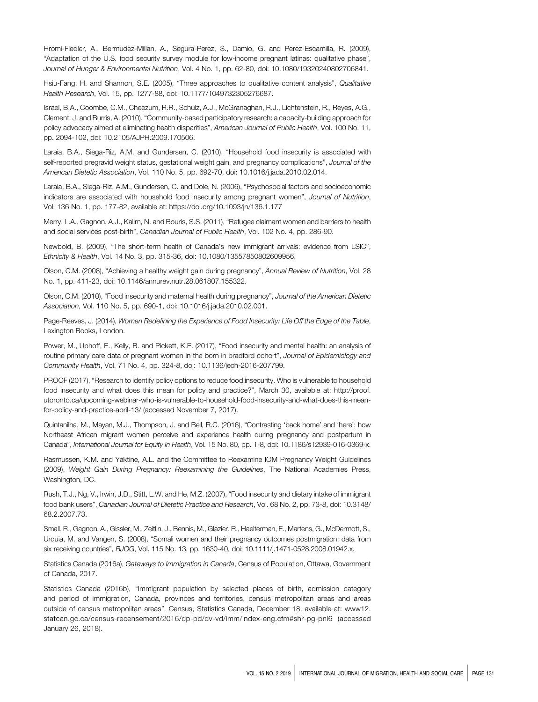Hromi-Fiedler, A., Bermudez-Millan, A., Segura-Perez, S., Damio, G. and Perez-Escamilla, R. (2009), "Adaptation of the U.S. food security survey module for low-income pregnant latinas: qualitative phase", Journal of Hunger & Environmental Nutrition, Vol. 4 No. 1, pp. 62-80, doi: 10.1080/19320240802706841.

Hsiu-Fang, H. and Shannon, S.E. (2005), "Three approaches to qualitative content analysis", Qualitative Health Research, Vol. 15, pp. 1277-88, doi: 10.1177/1049732305276687.

Israel, B.A., Coombe, C.M., Cheezum, R.R., Schulz, A.J., McGranaghan, R.J., Lichtenstein, R., Reyes, A.G., Clement, J. and Burris, A. (2010), "Community-based participatory research: a capacity-building approach for policy advocacy aimed at eliminating health disparities", American Journal of Public Health, Vol. 100 No. 11, pp. 2094-102, doi: 10.2105/AJPH.2009.170506.

Laraia, B.A., Siega-Riz, A.M. and Gundersen, C. (2010), "Household food insecurity is associated with self-reported pregravid weight status, gestational weight gain, and pregnancy complications", Journal of the American Dietetic Association, Vol. 110 No. 5, pp. 692-70, doi: 10.1016/j.jada.2010.02.014.

Laraia, B.A., Siega-Riz, A.M., Gundersen, C. and Dole, N. (2006), "Psychosocial factors and socioeconomic indicators are associated with household food insecurity among pregnant women", Journal of Nutrition, Vol. 136 No. 1, pp. 177-82, available at:<https://doi.org/10.1093/jn/136.1.177>

Merry, L.A., Gagnon, A.J., Kalim, N. and Bouris, S.S. (2011), "Refugee claimant women and barriers to health and social services post-birth", Canadian Journal of Public Health, Vol. 102 No. 4, pp. 286-90.

Newbold, B. (2009), "The short-term health of Canada's new immigrant arrivals: evidence from LSIC", Ethnicity & Health, Vol. 14 No. 3, pp. 315-36, doi: 10.1080/13557850802609956.

Olson, C.M. (2008), "Achieving a healthy weight gain during pregnancy", Annual Review of Nutrition, Vol. 28 No. 1, pp. 411-23, doi: 10.1146/annurev.nutr.28.061807.155322.

Olson, C.M. (2010), "Food insecurity and maternal health during pregnancy", Journal of the American Dietetic Association, Vol. 110 No. 5, pp. 690-1, doi: 10.1016/j.jada.2010.02.001.

Page-Reeves, J. (2014), Women Redefining the Experience of Food Insecurity: Life Off the Edge of the Table, Lexington Books, London.

Power, M., Uphoff, E., Kelly, B. and Pickett, K.E. (2017), "Food insecurity and mental health: an analysis of routine primary care data of pregnant women in the born in bradford cohort", Journal of Epidemiology and Community Health, Vol. 71 No. 4, pp. 324-8, doi: 10.1136/jech-2016-207799.

PROOF (2017), "Research to identify policy options to reduce food insecurity. Who is vulnerable to household food insecurity and what does this mean for policy and practice?", March 30, available at: [http://proof.](http://proof.utoronto.ca/upcoming-webinar-who-is-vulnerable-to-household-food-insecurity-and-what-does-this-mean-for-policy-and-practice-april-13/) [utoronto.ca/upcoming-webinar-who-is-vulnerable-to-household-food-insecurity-and-what-does-this-mean](http://proof.utoronto.ca/upcoming-webinar-who-is-vulnerable-to-household-food-insecurity-and-what-does-this-mean-for-policy-and-practice-april-13/)[for-policy-and-practice-april-13/](http://proof.utoronto.ca/upcoming-webinar-who-is-vulnerable-to-household-food-insecurity-and-what-does-this-mean-for-policy-and-practice-april-13/) (accessed November 7, 2017).

Quintanilha, M., Mayan, M.J., Thompson, J. and Bell, R.C. (2016), "Contrasting 'back home' and 'here': how Northeast African migrant women perceive and experience health during pregnancy and postpartum in Canada", International Journal for Equity in Health, Vol. 15 No. 80, pp. 1-8, doi: 10.1186/s12939-016-0369-x.

Rasmussen, K.M. and Yaktine, A.L. and the Committee to Reexamine IOM Pregnancy Weight Guidelines (2009), Weight Gain During Pregnancy: Reexamining the Guidelines, The National Academies Press, Washington, DC.

Rush, T.J., Ng, V., Irwin, J.D., Stitt, L.W. and He, M.Z. (2007), "Food insecurity and dietary intake of immigrant food bank users", Canadian Journal of Dietetic Practice and Research, Vol. 68 No. 2, pp. 73-8, doi: 10.3148/ 68.2.2007.73.

Small, R., Gagnon, A., Gissler, M., Zeitlin, J., Bennis, M., Glazier, R., Haelterman, E., Martens, G., McDermott, S., Urquia, M. and Vangen, S. (2008), "Somali women and their pregnancy outcomes postmigration: data from six receiving countries", BJOG, Vol. 115 No. 13, pp. 1630-40, doi: 10.1111/j.1471-0528.2008.01942.x.

Statistics Canada (2016a), Gateways to Immigration in Canada, Census of Population, Ottawa, Government of Canada, 2017.

Statistics Canada (2016b), "Immigrant population by selected places of birth, admission category and period of immigration, Canada, provinces and territories, census metropolitan areas and areas outside of census metropolitan areas", Census, Statistics Canada, December 18, available at: [www12.](www12.statcan.gc.ca/census-recensement/2016/dp-pd/dv-vd/imm/index-eng.cfm#shr-pg-pnl6) [statcan.gc.ca/census-recensement/2016/dp-pd/dv-vd/imm/index-eng.cfm#shr-pg-pnl6](www12.statcan.gc.ca/census-recensement/2016/dp-pd/dv-vd/imm/index-eng.cfm#shr-pg-pnl6) (accessed January 26, 2018).